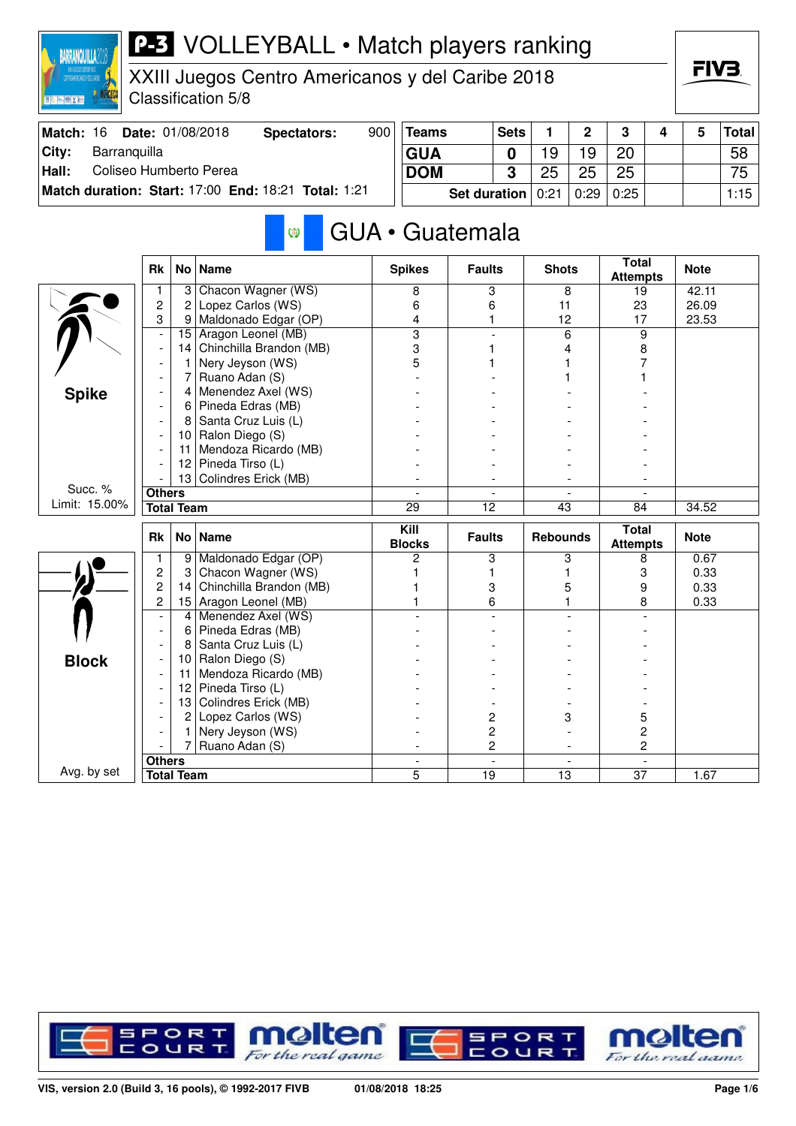

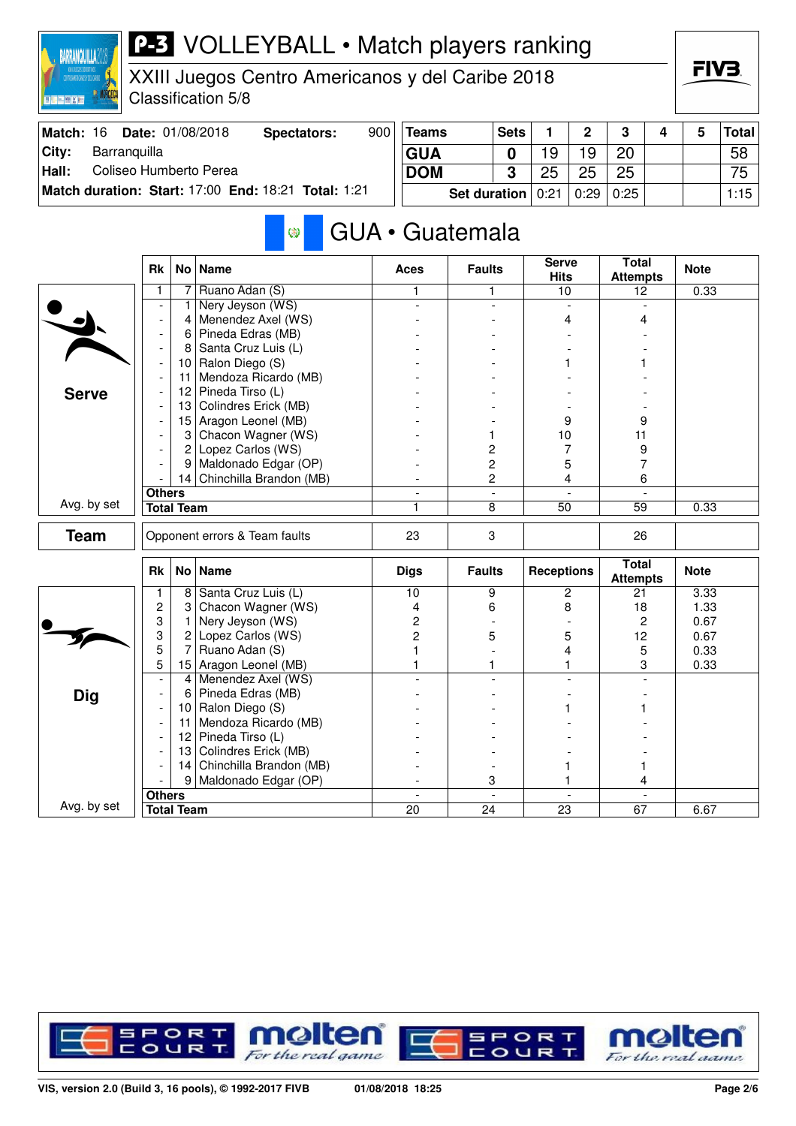

XXIII Juegos Centro Americanos y del Caribe 2018 Classification 5/8

| Match: 16 | <b>Date: 01/08/2018</b>                             | Spectators: | 900 | <b>Teams</b>          | <b>Sets</b> |    | $\overline{2}$             | $\mathbf{r}$ |  | Total |
|-----------|-----------------------------------------------------|-------------|-----|-----------------------|-------------|----|----------------------------|--------------|--|-------|
| City:     | Barranquilla                                        |             |     | <b>GUA</b>            |             | 9  | 19                         | <b>20</b>    |  | 58    |
| Hall:     | Coliseo Humberto Perea                              |             |     | <b>DOM</b>            |             | 25 | 25                         | 25           |  | 75    |
|           | Match duration: Start: 17:00 End: 18:21 Total: 1:21 |             |     | Set duration $ 0:21 $ |             |    | <sup>∣</sup> 0:29 ∣ 0:25 ⊦ |              |  | 1:15  |

#### GUA • Guatemala  $\circledcirc$

|              | <b>Rk</b>                                                                                                                                                                                                                                                                                                                   |                   | No   Name                     | <b>Aces</b>              | <b>Faults</b>            | <b>Serve</b><br><b>Hits</b> | <b>Total</b><br><b>Attempts</b> | <b>Note</b> |
|--------------|-----------------------------------------------------------------------------------------------------------------------------------------------------------------------------------------------------------------------------------------------------------------------------------------------------------------------------|-------------------|-------------------------------|--------------------------|--------------------------|-----------------------------|---------------------------------|-------------|
|              | 1                                                                                                                                                                                                                                                                                                                           | 7                 | Ruano Adan (S)                | 1                        | 1                        | 10                          | 12                              | 0.33        |
|              |                                                                                                                                                                                                                                                                                                                             | 1                 | Nery Jeyson (WS)              |                          | $\overline{a}$           | $\overline{a}$              |                                 |             |
|              | $\blacksquare$<br>$\overline{\phantom{a}}$<br>$\overline{\phantom{a}}$<br>$\overline{\phantom{a}}$<br>$\overline{\phantom{a}}$<br><b>Others</b><br><b>Total Team</b><br>Rk<br>1<br>$\overline{c}$<br>3<br>3<br>5<br>5<br>$\overline{\phantom{a}}$<br>$\overline{\phantom{a}}$<br>$\overline{\phantom{a}}$<br>$\blacksquare$ | 4                 | Menendez Axel (WS)            |                          |                          | 4                           | 4                               |             |
|              |                                                                                                                                                                                                                                                                                                                             | 6                 | Pineda Edras (MB)             |                          |                          |                             |                                 |             |
|              |                                                                                                                                                                                                                                                                                                                             | 8                 | Santa Cruz Luis (L)           |                          |                          |                             |                                 |             |
|              |                                                                                                                                                                                                                                                                                                                             | 10                | Ralon Diego (S)               |                          |                          |                             |                                 |             |
|              |                                                                                                                                                                                                                                                                                                                             | 11                | Mendoza Ricardo (MB)          |                          |                          |                             |                                 |             |
| <b>Serve</b> |                                                                                                                                                                                                                                                                                                                             | 12 <sub>2</sub>   | Pineda Tirso (L)              |                          |                          |                             |                                 |             |
|              |                                                                                                                                                                                                                                                                                                                             | 13                | Colindres Erick (MB)          |                          |                          |                             |                                 |             |
|              |                                                                                                                                                                                                                                                                                                                             | 15                | Aragon Leonel (MB)            |                          |                          | 9                           | 9                               |             |
|              |                                                                                                                                                                                                                                                                                                                             | 3 <sup>1</sup>    | Chacon Wagner (WS)            |                          | 1                        | 10                          | 11                              |             |
|              |                                                                                                                                                                                                                                                                                                                             | $\overline{2}$    | Lopez Carlos (WS)             |                          | 2                        | 7                           | 9                               |             |
|              |                                                                                                                                                                                                                                                                                                                             | 9 <sup>1</sup>    | Maldonado Edgar (OP)          |                          | $\overline{\mathbf{c}}$  | 5                           | 7                               |             |
|              |                                                                                                                                                                                                                                                                                                                             |                   | 14 Chinchilla Brandon (MB)    |                          | $\overline{c}$           | 4                           | 6                               |             |
|              |                                                                                                                                                                                                                                                                                                                             |                   |                               | $\overline{\phantom{a}}$ | $\overline{\phantom{a}}$ | $\overline{\phantom{a}}$    | $\blacksquare$                  |             |
| Avg. by set  |                                                                                                                                                                                                                                                                                                                             |                   |                               | 1                        | 8                        | 50                          | $\overline{59}$                 | 0.33        |
| <b>Team</b>  |                                                                                                                                                                                                                                                                                                                             |                   | Opponent errors & Team faults | 23                       | 3                        |                             | 26                              |             |
|              |                                                                                                                                                                                                                                                                                                                             |                   | No   Name                     | <b>Digs</b>              | <b>Faults</b>            | <b>Receptions</b>           | <b>Total</b><br><b>Attempts</b> | <b>Note</b> |
|              |                                                                                                                                                                                                                                                                                                                             | 8 <sup>1</sup>    | Santa Cruz Luis (L)           | 10                       | 9                        | $\overline{c}$              | 21                              | 3.33        |
|              |                                                                                                                                                                                                                                                                                                                             | 3                 | Chacon Wagner (WS)            | 4                        | 6                        | 8                           | 18                              | 1.33        |
|              |                                                                                                                                                                                                                                                                                                                             | 1                 | Nery Jeyson (WS)              | $\overline{c}$           |                          |                             | $\overline{c}$                  | 0.67        |
|              |                                                                                                                                                                                                                                                                                                                             | 2                 | Lopez Carlos (WS)             | $\overline{2}$           | 5                        | 5                           | 12                              | 0.67        |
|              |                                                                                                                                                                                                                                                                                                                             | $\overline{7}$    | Ruano Adan (S)                |                          |                          | $\overline{4}$              | 5                               | 0.33        |
|              |                                                                                                                                                                                                                                                                                                                             | 15                | Aragon Leonel (MB)            |                          | 1                        |                             | 3                               | 0.33        |
|              |                                                                                                                                                                                                                                                                                                                             | 4                 | Menendez Axel (WS)            |                          |                          |                             |                                 |             |
| Dig          |                                                                                                                                                                                                                                                                                                                             | 6                 | Pineda Edras (MB)             |                          |                          |                             |                                 |             |
|              |                                                                                                                                                                                                                                                                                                                             | 10 <sup>°</sup>   | Ralon Diego (S)               |                          |                          |                             |                                 |             |
|              |                                                                                                                                                                                                                                                                                                                             | 11                | Mendoza Ricardo (MB)          |                          |                          |                             |                                 |             |
|              |                                                                                                                                                                                                                                                                                                                             | 12                | Pineda Tirso (L)              |                          |                          |                             |                                 |             |
|              |                                                                                                                                                                                                                                                                                                                             | 13                | Colindres Erick (MB)          |                          |                          |                             |                                 |             |
|              |                                                                                                                                                                                                                                                                                                                             |                   | 14 Chinchilla Brandon (MB)    |                          |                          |                             | 1                               |             |
|              |                                                                                                                                                                                                                                                                                                                             |                   | 9 Maldonado Edgar (OP)        |                          | 3                        |                             | 4                               |             |
|              | <b>Others</b>                                                                                                                                                                                                                                                                                                               |                   |                               | $\blacksquare$           | $\blacksquare$           | $\overline{\phantom{a}}$    |                                 |             |
| Avg. by set  |                                                                                                                                                                                                                                                                                                                             | <b>Total Team</b> |                               | 20                       | 24                       | 23                          | 67                              | 6.67        |

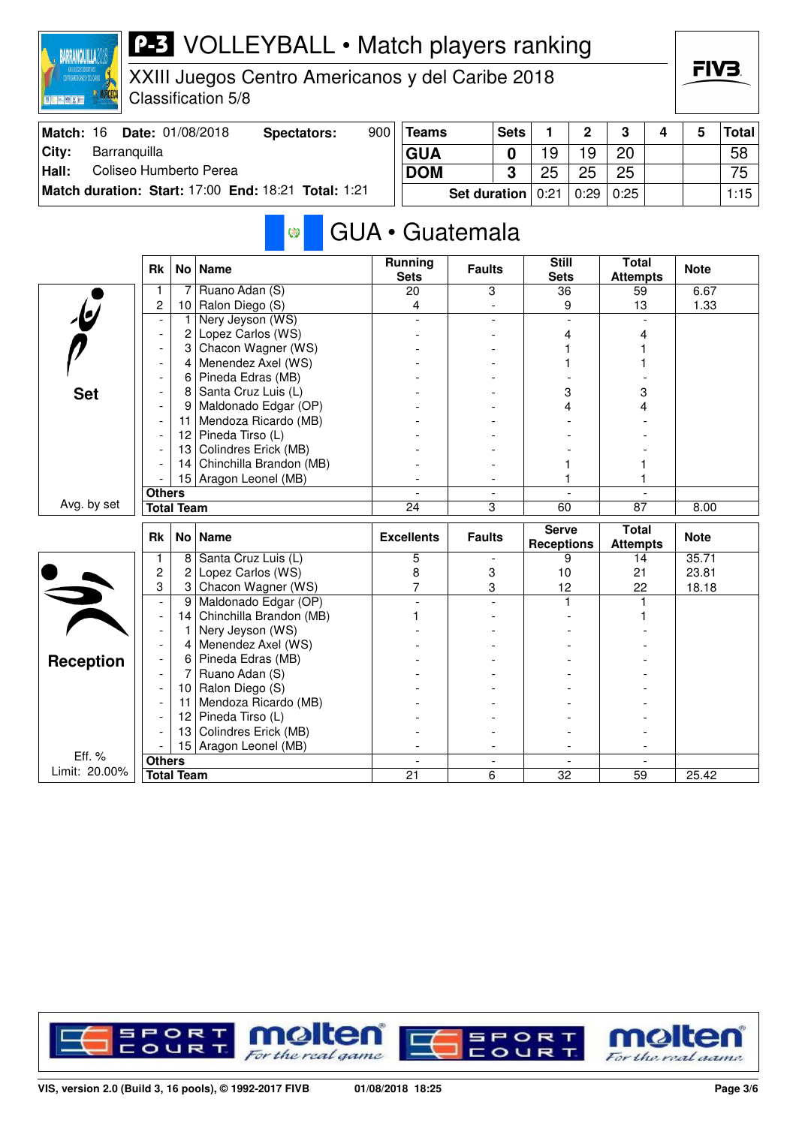

XXIII Juegos Centro Americanos y del Caribe 2018 Classification 5/8

| Match: 16 | <b>Date: 01/08/2018</b>                                    | Spectators: | 900 | <b>Teams</b>          | <b>Sets</b> |    | $\mathbf{\Omega}$ | 3    |  | <b>Total</b> |
|-----------|------------------------------------------------------------|-------------|-----|-----------------------|-------------|----|-------------------|------|--|--------------|
| City:     | Barranguilla                                               |             |     | <b>GUA</b>            |             | 9  | 19                | 20   |  | 58           |
| Hall:     | Coliseo Humberto Perea                                     |             |     | <b>DOM</b>            | ≏           | 25 | 25                | 25   |  | 75           |
|           | <b>Match duration: Start: 17:00 End: 18:21 Total: 1:21</b> |             |     | Set duration $ 0:21 $ |             |    | 0:29              | 0:25 |  | 1:15         |

#### GUA • Guatemala Ø

|                         | <b>Rk</b>                |                   | No Name                 | <b>Running</b><br><b>Sets</b> | <b>Faults</b> | <b>Still</b><br><b>Sets</b>       | <b>Total</b><br><b>Attempts</b> | <b>Note</b> |
|-------------------------|--------------------------|-------------------|-------------------------|-------------------------------|---------------|-----------------------------------|---------------------------------|-------------|
|                         | 1                        | 7                 | Ruano Adan (S)          | 20                            | 3             | 36                                | 59                              | 6.67        |
| $\overline{\psi}$       | $\overline{c}$           | 10 <sup>1</sup>   | Ralon Diego (S)         | 4                             |               | 9                                 | 13                              | 1.33        |
|                         |                          | 1                 | Nery Jeyson (WS)        |                               |               |                                   |                                 |             |
|                         | $\overline{\phantom{a}}$ | $\overline{c}$    | Lopez Carlos (WS)       |                               |               | 4                                 | Δ                               |             |
|                         |                          | 3                 | Chacon Wagner (WS)      |                               |               |                                   |                                 |             |
|                         |                          | 4                 | Menendez Axel (WS)      |                               |               |                                   |                                 |             |
|                         |                          | 6                 | Pineda Edras (MB)       |                               |               |                                   |                                 |             |
| <b>Set</b>              |                          | 8                 | Santa Cruz Luis (L)     |                               |               | 3                                 | 3                               |             |
|                         |                          | 9                 | Maldonado Edgar (OP)    |                               |               | 4                                 | 4                               |             |
|                         |                          | 11                | Mendoza Ricardo (MB)    |                               |               |                                   |                                 |             |
|                         |                          | 12 <sub>2</sub>   | Pineda Tirso (L)        |                               |               |                                   |                                 |             |
|                         |                          | 13                | Colindres Erick (MB)    |                               |               |                                   |                                 |             |
|                         |                          | 14                | Chinchilla Brandon (MB) |                               |               |                                   |                                 |             |
|                         |                          |                   | 15 Aragon Leonel (MB)   |                               |               |                                   |                                 |             |
|                         | <b>Others</b>            |                   |                         |                               |               |                                   |                                 |             |
| Avg. by set             |                          | <b>Total Team</b> |                         | 24                            | 3             | 60                                | $\overline{87}$                 | 8.00        |
|                         |                          |                   |                         |                               |               |                                   |                                 |             |
|                         | <b>Rk</b>                |                   | No   Name               | <b>Excellents</b>             | <b>Faults</b> | <b>Serve</b><br><b>Receptions</b> | <b>Total</b><br><b>Attempts</b> | <b>Note</b> |
|                         | 1                        | 8                 | Santa Cruz Luis (L)     | 5                             |               | 9                                 | 14                              | 35.71       |
|                         | $\overline{c}$           | 2                 | Lopez Carlos (WS)       | 8                             | 3             | 10                                | 21                              | 23.81       |
|                         | 3                        | 3                 | Chacon Wagner (WS)      | 7                             | 3             | 12                                | 22                              | 18.18       |
|                         | $\blacksquare$           | 9                 | Maldonado Edgar (OP)    |                               |               | 1                                 | 1                               |             |
|                         | $\blacksquare$           | 14                | Chinchilla Brandon (MB) |                               |               |                                   |                                 |             |
|                         | $\blacksquare$           | 1                 | Nery Jeyson (WS)        |                               |               |                                   |                                 |             |
|                         |                          | 4                 | Menendez Axel (WS)      |                               |               |                                   |                                 |             |
|                         |                          | 6                 | Pineda Edras (MB)       |                               |               |                                   |                                 |             |
| <b>Reception</b>        |                          | 7                 | Ruano Adan (S)          |                               |               |                                   |                                 |             |
|                         |                          | 10                | Ralon Diego (S)         |                               |               |                                   |                                 |             |
|                         |                          | 11                | Mendoza Ricardo (MB)    |                               |               |                                   |                                 |             |
|                         |                          | 12                | Pineda Tirso (L)        |                               |               |                                   |                                 |             |
|                         |                          | 13                | Colindres Erick (MB)    |                               |               |                                   |                                 |             |
|                         |                          | 15 <sup>1</sup>   | Aragon Leonel (MB)      |                               |               |                                   |                                 |             |
| Eff. %<br>Limit: 20.00% | <b>Others</b>            | <b>Total Team</b> |                         | 21                            | 6             | 32                                | 59                              | 25.42       |

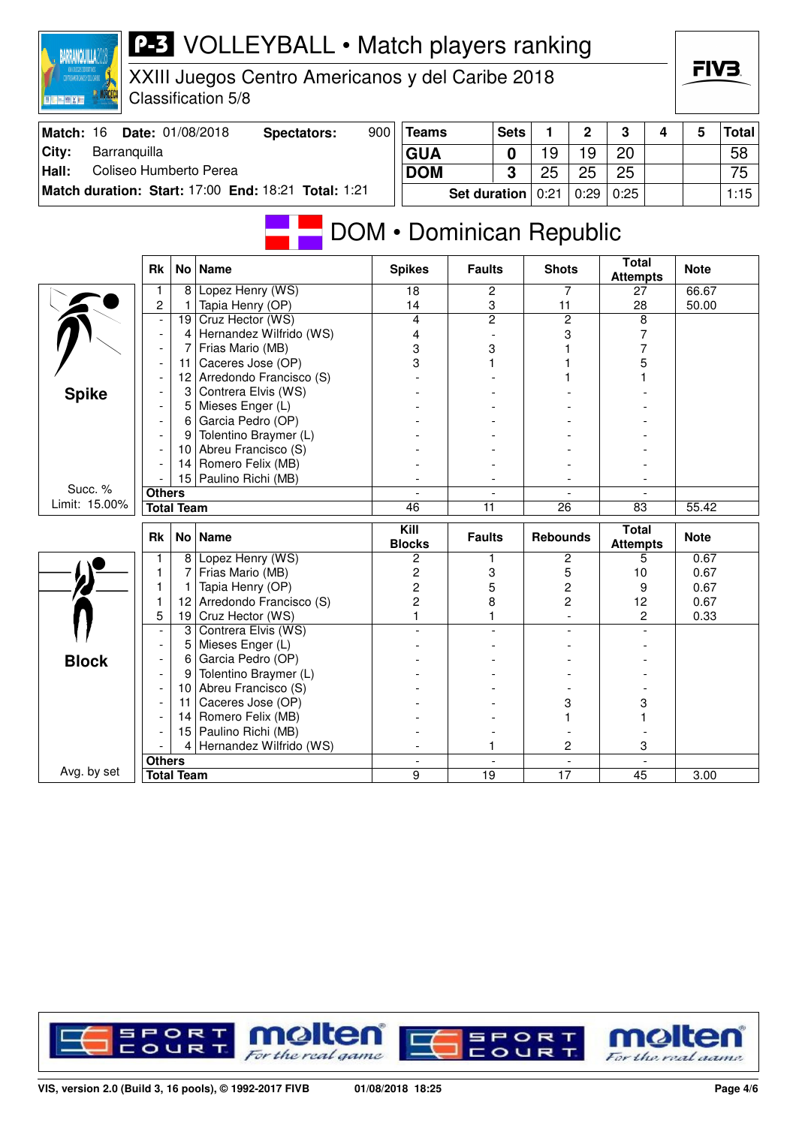| <b>MORCECA</b><br>四時已開拓         |                                            |                   | Classification 5/8                                  |     |                                     |                                  |                          |                     |                     |                                 |   |              |              |
|---------------------------------|--------------------------------------------|-------------------|-----------------------------------------------------|-----|-------------------------------------|----------------------------------|--------------------------|---------------------|---------------------|---------------------------------|---|--------------|--------------|
| Match: 16                       |                                            |                   | Date: 01/08/2018<br><b>Spectators:</b>              | 900 | <b>Teams</b>                        |                                  | <b>Sets</b>              | 1.                  | $\overline{2}$      | 3                               | 4 | 5            | <b>Total</b> |
| City:<br>Barranquilla           |                                            |                   |                                                     |     | <b>GUA</b>                          |                                  | $\mathbf 0$              | 19                  | 19                  | 20                              |   |              | 58           |
| Coliseo Humberto Perea<br>Hall: |                                            |                   |                                                     |     | <b>DOM</b>                          |                                  | $\overline{3}$           | 25                  | 25                  | 25                              |   |              | 75           |
|                                 |                                            |                   | Match duration: Start: 17:00 End: 18:21 Total: 1:21 |     |                                     |                                  |                          |                     |                     |                                 |   |              |              |
|                                 |                                            |                   |                                                     |     |                                     | <b>Set duration</b>              |                          | 0:21                | 0:29                | 0:25                            |   |              | 1:15         |
|                                 |                                            |                   |                                                     |     | <b>DOM</b> • Dominican Republic     |                                  |                          |                     |                     |                                 |   |              |              |
|                                 | <b>Rk</b>                                  |                   | No   Name                                           |     | <b>Spikes</b>                       | <b>Faults</b>                    |                          | <b>Shots</b>        |                     | <b>Total</b><br><b>Attempts</b> |   | <b>Note</b>  |              |
|                                 | 1                                          | 8                 | Lopez Henry (WS)                                    |     | $\overline{18}$                     | $\overline{c}$                   |                          | 7                   |                     | 27                              |   | 66.67        |              |
|                                 | $\overline{c}$                             | 1                 | Tapia Henry (OP)                                    |     | 14                                  | 3                                |                          | 11                  |                     | 28                              |   | 50.00        |              |
|                                 | $\overline{a}$                             | 19                | Cruz Hector (WS)<br>Hernandez Wilfrido (WS)         |     | $\overline{4}$                      | $\overline{2}$<br>$\overline{a}$ |                          | $\overline{2}$<br>3 |                     | 8<br>$\overline{7}$             |   |              |              |
|                                 | $\blacksquare$<br>$\overline{\phantom{a}}$ | 4<br>7            | Frias Mario (MB)                                    |     | 4<br>3                              | 3                                |                          | 1                   |                     | 7                               |   |              |              |
|                                 | $\overline{\phantom{a}}$                   | 11                | Caceres Jose (OP)                                   |     | 3                                   | 1                                |                          |                     |                     | 5                               |   |              |              |
|                                 |                                            | 12                | Arredondo Francisco (S)                             |     |                                     |                                  |                          |                     |                     |                                 |   |              |              |
| <b>Spike</b>                    | $\overline{a}$                             | 3                 | Contrera Elvis (WS)                                 |     |                                     |                                  |                          |                     |                     |                                 |   |              |              |
|                                 | ÷,                                         |                   | 5 Mieses Enger (L)                                  |     |                                     |                                  |                          |                     |                     |                                 |   |              |              |
|                                 | $\blacksquare$                             | 6                 | Garcia Pedro (OP)                                   |     |                                     |                                  |                          |                     |                     |                                 |   |              |              |
|                                 | $\overline{\phantom{a}}$                   | 9                 | Tolentino Braymer (L)                               |     |                                     |                                  |                          |                     |                     |                                 |   |              |              |
|                                 |                                            | 10                | Abreu Francisco (S)                                 |     |                                     |                                  |                          |                     |                     |                                 |   |              |              |
|                                 |                                            | 14                | Romero Felix (MB)                                   |     |                                     |                                  |                          |                     |                     |                                 |   |              |              |
| Succ. %                         |                                            |                   | 15 Paulino Richi (MB)                               |     | $\overline{a}$<br>$\blacksquare$    |                                  | $\overline{\phantom{a}}$ |                     | $\sim$              |                                 |   |              |              |
| Limit: 15.00%                   | <b>Others</b>                              | <b>Total Team</b> |                                                     |     | 46                                  | 11                               | $\overline{\phantom{a}}$ | 26                  |                     | 83                              |   | 55.42        |              |
|                                 |                                            |                   |                                                     |     |                                     |                                  |                          |                     |                     |                                 |   |              |              |
|                                 | <b>Rk</b>                                  | No <sub>1</sub>   | <b>Name</b>                                         |     | $\overline{K}$ ill<br><b>Blocks</b> | <b>Faults</b>                    |                          | <b>Rebounds</b>     |                     | <b>Total</b><br><b>Attempts</b> |   | <b>Note</b>  |              |
|                                 | 1                                          |                   | 8 Lopez Henry (WS)                                  |     | 2                                   | 1                                |                          | $\boldsymbol{2}$    |                     | 5                               |   | 0.67         |              |
|                                 | $\mathbf{1}$                               | $\overline{7}$    | Frias Mario (MB)                                    |     | $\overline{\mathbf{c}}$             | 3                                |                          | 5                   |                     | 10                              |   | 0.67         |              |
|                                 | 1<br>1                                     | 1                 | Tapia Henry (OP)<br>Arredondo Francisco (S)         |     | $\overline{c}$<br>$\overline{c}$    | 5<br>8                           |                          |                     | $\overline{c}$      | 9                               |   | 0.67         |              |
|                                 | 5                                          | 12 <br>19         | Cruz Hector (WS)                                    |     | 1                                   | 1                                |                          |                     | 2<br>$\overline{a}$ | 12<br>$\overline{c}$            |   | 0.67<br>0.33 |              |
|                                 | $\overline{a}$                             | 3                 | Contrera Elvis (WS)                                 |     |                                     |                                  |                          |                     |                     |                                 |   |              |              |
|                                 | $\blacksquare$                             | 5                 | Mieses Enger (L)                                    |     |                                     |                                  |                          |                     |                     |                                 |   |              |              |
| <b>Block</b>                    | $\overline{\phantom{a}}$                   | 6                 | Garcia Pedro (OP)                                   |     |                                     |                                  |                          |                     |                     |                                 |   |              |              |
|                                 | $\blacksquare$                             | 9                 | Tolentino Braymer (L)                               |     |                                     |                                  |                          |                     |                     |                                 |   |              |              |
|                                 | $\blacksquare$                             | 10                | Abreu Francisco (S)                                 |     |                                     |                                  |                          |                     |                     |                                 |   |              |              |
|                                 | $\overline{\phantom{a}}$                   | 11                | Caceres Jose (OP)                                   |     |                                     |                                  |                          | 3                   |                     | 3                               |   |              |              |
|                                 |                                            | 14                | Romero Felix (MB)                                   |     |                                     |                                  |                          | $\mathbf{1}$        |                     | 1                               |   |              |              |
|                                 |                                            |                   | 15 Paulino Richi (MB)<br>4 Hernandez Wilfrido (WS)  |     |                                     | 1                                |                          |                     | 2                   | 3                               |   |              |              |
|                                 | <b>Others</b>                              |                   |                                                     |     |                                     |                                  |                          |                     |                     |                                 |   |              |              |
| Avg. by set                     |                                            | <b>Total Team</b> |                                                     |     | 9                                   | $\overline{19}$                  |                          | 17                  |                     | 45                              |   | 3.00         |              |
|                                 |                                            |                   |                                                     |     |                                     |                                  |                          |                     |                     |                                 |   |              |              |

XXIII Juegos Centro Americanos y del Caribe 2018

**BARRANQUILLA2018** 



**FIV3**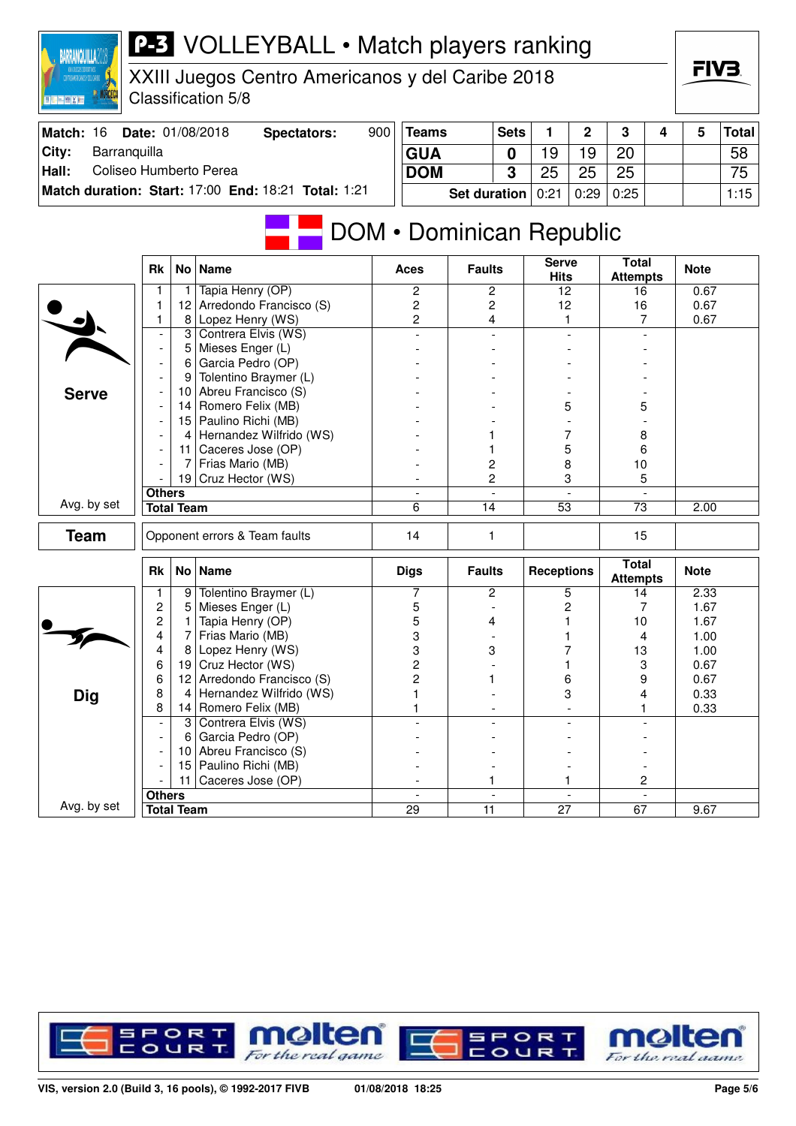| <b>MANUFACECA</b><br>日に無関係者     |                                            |                   | Classification 5/8                                  |     |                          |                 |                |                   |              |                                 |   |             |              |
|---------------------------------|--------------------------------------------|-------------------|-----------------------------------------------------|-----|--------------------------|-----------------|----------------|-------------------|--------------|---------------------------------|---|-------------|--------------|
| Match: 16                       |                                            |                   | Date: 01/08/2018<br><b>Spectators:</b>              | 900 | <b>Teams</b>             |                 | <b>Sets</b>    | 1                 | $\mathbf{2}$ | 3                               | 4 | 5           | <b>Total</b> |
| City:<br>Barranquilla           |                                            |                   |                                                     |     | <b>GUA</b>               |                 | $\mathbf 0$    | 19                | 19           | 20                              |   |             | 58           |
| Coliseo Humberto Perea<br>Hall: |                                            |                   |                                                     |     | <b>DOM</b>               |                 | 3              | 25                | 25           | 25                              |   |             | 75           |
|                                 |                                            |                   | Match duration: Start: 17:00 End: 18:21 Total: 1:21 |     |                          |                 |                |                   |              |                                 |   |             |              |
|                                 |                                            |                   |                                                     |     |                          | Set duration    |                | 0:21              | 0:29         | 0:25                            |   |             | 1:15         |
|                                 |                                            |                   |                                                     |     | DOM • Dominican Republic |                 |                | <b>Serve</b>      |              | <b>Total</b>                    |   |             |              |
|                                 | <b>Rk</b>                                  |                   | No   Name                                           |     | Aces                     | <b>Faults</b>   |                | <b>Hits</b>       |              | <b>Attempts</b>                 |   | <b>Note</b> |              |
|                                 | 1                                          | 1.                | Tapia Henry (OP)                                    |     | 2                        | 2               |                | 12                |              | 16                              |   | 0.67        |              |
|                                 | 1                                          | 12                | Arredondo Francisco (S)                             |     | 2                        | 2               |                | 12                |              | 16                              |   | 0.67        |              |
|                                 | 1                                          | 8                 | Lopez Henry (WS)                                    |     | 2                        | 4               |                | 1                 |              | 7                               |   | 0.67        |              |
|                                 | $\overline{\phantom{a}}$<br>$\blacksquare$ | 3<br>5            | Contrera Elvis (WS)<br>Mieses Enger (L)             |     |                          |                 | $\overline{a}$ |                   |              |                                 |   |             |              |
|                                 |                                            | 6                 | Garcia Pedro (OP)                                   |     |                          |                 |                |                   |              |                                 |   |             |              |
|                                 |                                            | 9                 | Tolentino Braymer (L)                               |     |                          |                 |                |                   |              |                                 |   |             |              |
| <b>Serve</b>                    |                                            | 10                | Abreu Francisco (S)                                 |     |                          |                 |                |                   |              |                                 |   |             |              |
|                                 |                                            | 14                | Romero Felix (MB)                                   |     |                          |                 |                |                   | 5            | 5                               |   |             |              |
|                                 |                                            | 15                | Paulino Richi (MB)                                  |     |                          |                 |                |                   |              |                                 |   |             |              |
|                                 |                                            | 4                 | Hernandez Wilfrido (WS)                             |     |                          |                 |                | 7                 |              | 8                               |   |             |              |
|                                 |                                            | 11                | Caceres Jose (OP)                                   |     |                          |                 |                | 5                 |              | 6                               |   |             |              |
|                                 |                                            | 7                 | Frias Mario (MB)                                    |     |                          | 2               |                | 8                 |              | 10                              |   |             |              |
|                                 |                                            | 19                | Cruz Hector (WS)                                    |     |                          | $\overline{c}$  |                |                   | 3            | 5                               |   |             |              |
| Avg. by set                     | <b>Others</b>                              | <b>Total Team</b> |                                                     |     | $\blacksquare$<br>6      | 14              |                | $\overline{53}$   |              | $\overline{73}$                 |   | 2.00        |              |
|                                 |                                            |                   |                                                     |     |                          |                 |                |                   |              |                                 |   |             |              |
| <b>Team</b>                     |                                            |                   | Opponent errors & Team faults                       |     | 14                       | 1               |                |                   |              | 15                              |   |             |              |
|                                 | <b>Rk</b>                                  |                   | No   Name                                           |     | <b>Digs</b>              | <b>Faults</b>   |                | <b>Receptions</b> |              | <b>Total</b><br><b>Attempts</b> |   | <b>Note</b> |              |
|                                 | 1                                          | 9                 | Tolentino Braymer (L)                               |     | 7                        | 2               |                |                   | 5            | 14                              |   | 2.33        |              |
|                                 | $\overline{c}$                             | 5                 | Mieses Enger (L)                                    |     | 5                        |                 |                |                   | 2            | 7                               |   | 1.67        |              |
|                                 | $\overline{c}$                             | 1                 | Tapia Henry (OP)                                    |     | 5                        | 4               |                |                   |              | 10                              |   | 1.67        |              |
|                                 | 4                                          | 7                 | Frias Mario (MB)                                    |     | 3                        |                 |                |                   |              | 4                               |   | 1.00        |              |
|                                 | 4                                          | 8                 | Lopez Henry (WS)                                    |     | 3                        | 3               |                |                   |              | 13                              |   | 1.00        |              |
|                                 | 6                                          | 19                | Cruz Hector (WS)                                    |     | $\overline{c}$           |                 |                |                   |              | 3                               |   | 0.67        |              |
|                                 | 6                                          | 12                | Arredondo Francisco (S)                             |     | 2                        | 1               |                | 6                 |              | 9                               |   | 0.67        |              |
| Dig                             | 8<br>8                                     |                   | Hernandez Wilfrido (WS)<br>Romero Felix (MB)        |     | 1                        |                 |                |                   | 3            | 4<br>1.                         |   | 0.33        |              |
|                                 |                                            | 14                | 3 Contrera Elvis (WS)                               |     |                          |                 |                |                   |              |                                 |   | 0.33        |              |
|                                 |                                            | 6                 | Garcia Pedro (OP)                                   |     |                          |                 |                |                   |              |                                 |   |             |              |
|                                 |                                            | 10 I              | Abreu Francisco (S)                                 |     |                          |                 |                |                   |              |                                 |   |             |              |
|                                 |                                            |                   | 15   Paulino Richi (MB)                             |     |                          |                 |                |                   |              |                                 |   |             |              |
|                                 |                                            | 11 <sup>1</sup>   | Caceres Jose (OP)                                   |     |                          |                 |                |                   |              | 2                               |   |             |              |
|                                 | <b>Others</b>                              |                   |                                                     |     | $\blacksquare$           |                 |                |                   |              |                                 |   |             |              |
| Avg. by set                     |                                            | <b>Total Team</b> |                                                     |     | $\overline{29}$          | $\overline{11}$ |                | $\overline{27}$   |              | 67                              |   | 9.67        |              |

XXIII Juegos Centro Americanos y del Caribe 2018

**BARRANQUILLA2018** 



FIVE